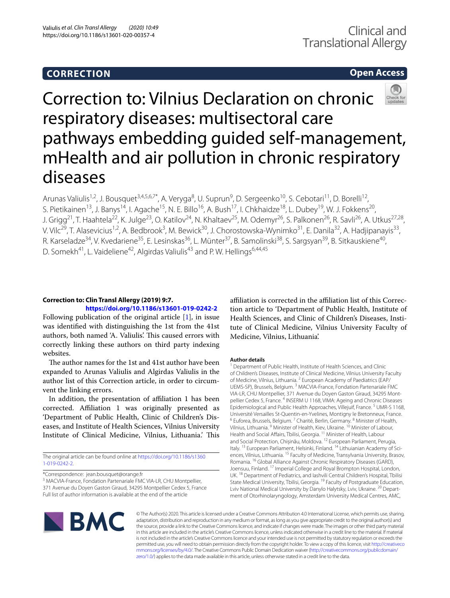# **CORRECTION**

# **Open Access**



# Correction to: Vilnius Declaration on chronic respiratory diseases: multisectoral care pathways embedding guided self-management, mHealth and air pollution in chronic respiratory diseases

Arunas Valiulis<sup>1,2</sup>, J. Bousquet<sup>3,4,5,6,7\*</sup>, A. Veryga<sup>8</sup>, U. Suprun<sup>9</sup>, D. Sergeenko<sup>10</sup>, S. Cebotari<sup>11</sup>, D. Borelli<sup>12</sup>, S. Pietikainen<sup>13</sup>, J. Banys<sup>14</sup>, I. Agache<sup>15</sup>, N. E. Billo<sup>16</sup>, A. Bush<sup>17</sup>, I. Chkhaidze<sup>18</sup>, L. Dubey<sup>19</sup>, W. J. Fokkens<sup>20</sup>, J. Grigg<sup>21</sup>, T. Haahtela<sup>22</sup>, K. Julge<sup>23</sup>, O. Katilov<sup>24</sup>, N. Khaltaev<sup>25</sup>, M. Odemyr<sup>26</sup>, S. Palkonen<sup>26</sup>, R. Savli<sup>26</sup>, A. Utkus<sup>27,28</sup>, V. Vilc<sup>29</sup>, T. Alasevicius<sup>1,2</sup>, A. Bedbrook<sup>3</sup>, M. Bewick<sup>30</sup>, J. Chorostowska-Wynimko<sup>31</sup>, E. Danila<sup>32</sup>, A. Hadjipanayis<sup>33</sup>, R. Karseladze<sup>34</sup>, V. Kvedariene<sup>35</sup>, E. Lesinskas<sup>36</sup>, L. Münter<sup>37</sup>, B. Samolinski<sup>38</sup>, S. Sargsyan<sup>39</sup>, B. Sitkauskiene<sup>40</sup>, D. Somekh<sup>41</sup>, L. Vaideliene<sup>42</sup>, Algirdas Valiulis<sup>43</sup> and P. W. Hellings<sup>6,44,45</sup>

## **Correction to: Clin Transl Allergy (2019) 9:7.**

## **<https://doi.org/10.1186/s13601-019-0242-2>**

Following publication of the original article [\[1](#page-1-0)], in issue was identifed with distinguishing the 1st from the 41st authors, both named 'A. Valiulis'. This caused errors with correctly linking these authors on third party indexing websites.

The author names for the 1st and 41st author have been expanded to Arunas Valiulis and Algirdas Valiulis in the author list of this Correction article, in order to circumvent the linking errors.

In addition, the presentation of afliation 1 has been corrected. Afliation 1 was originally presented as 'Department of Public Health, Clinic of Children's Diseases, and Institute of Health Sciences, Vilnius University Institute of Clinical Medicine, Vilnius, Lithuania.' This

The original article can be found online at [https://doi.org/10.1186/s1360](https://doi.org/10.1186/s13601-019-0242-2) [1-019-0242-2](https://doi.org/10.1186/s13601-019-0242-2).

\*Correspondence: jean.bousquet@orange.fr

<sup>3</sup> MACVIA-France, Fondation Partenariale FMC VIA-LR, CHU Montpellier, 371 Avenue du Doyen Gaston Giraud, 34295 Montpellier Cedex 5, France Full list of author information is available at the end of the article

affiliation is corrected in the affiliation list of this Correction article to 'Department of Public Health, Institute of Health Sciences, and Clinic of Children's Diseases, Institute of Clinical Medicine, Vilnius University Faculty of Medicine, Vilnius, Lithuania'.

## **Author details**

<sup>1</sup> Department of Public Health, Institute of Health Sciences, and Clinic of Children's Diseases, Institute of Clinical Medicine, Vilnius University Faculty of Medicine, Vilnius, Lithuania. <sup>2</sup> European Academy of Paediatrics (EAP/ UEMS-SP), Brussels, Belgium. 3 MACVIA‑France, Fondation Partenariale FMC VIA-LR, CHU Montpellier, 371 Avenue du Doyen Gaston Giraud, 34295 Mont‑ pellier Cedex 5, France. 4 INSERM U 1168, VIMA: Ageing and Chronic Diseases Epidemiological and Public Health Approaches, Villejuif, France.<sup>5</sup> UMR-S 1168, Université Versailles St-Quentin-en-Yvelines, Montigny le Bretonneux, France.<br><sup>6</sup> Euforea, Brussels, Belgium. <sup>7</sup> Charité, Berlin, Germany. <sup>8</sup> Minister of Health, Vilnius, Lithuania. <sup>9</sup> Minister of Health, Kiev, Ukraine. <sup>10</sup> Minister of Labour, Health and Social Affairs, Tbilisi, Georgia. <sup>11</sup> Minister of Health, Labour and Social Protection, Chișinău, Moldova. 12 European Parliament, Perugia, Italy. <sup>13</sup> European Parliament, Helsinki, Finland. <sup>14</sup> Lithuianian Academy of Sciences, Vilnius, Lithuania. 15 Faculty of Medicine, Transylvania University, Brasov, Romania. 16 Global Alliance Against Chronic Respiratory Diseases (GARD), Joensuu, Finland. 17 Imperial College and Royal Brompton Hospital, London, UK. 18 Department of Pediatrics, and Iashvili Central Children's Hospital, Tbilisi State Medical University, Tbilisi, Georgia. 19 Faculty of Postgraduate Education, Lviv National Medical University by Danylo Halytsky, Lviv, Ukraine. <sup>20</sup> Department of Otorhinolaryngology, Amsterdam University Medical Centres, AMC,



© The Author(s) 2020. This article is licensed under a Creative Commons Attribution 4.0 International License, which permits use, sharing, adaptation, distribution and reproduction in any medium or format, as long as you give appropriate credit to the original author(s) and the source, provide a link to the Creative Commons licence, and indicate if changes were made. The images or other third party material in this article are included in the article's Creative Commons licence, unless indicated otherwise in a credit line to the material. If material is not included in the article's Creative Commons licence and your intended use is not permitted by statutory regulation or exceeds the permitted use, you will need to obtain permission directly from the copyright holder. To view a copy of this licence, visit [http://creativeco](http://creativecommons.org/licenses/by/4.0/) [mmons.org/licenses/by/4.0/.](http://creativecommons.org/licenses/by/4.0/) The Creative Commons Public Domain Dedication waiver ([http://creativecommons.org/publicdomain/](http://creativecommons.org/publicdomain/zero/1.0/) [zero/1.0/\)](http://creativecommons.org/publicdomain/zero/1.0/) applies to the data made available in this article, unless otherwise stated in a credit line to the data.